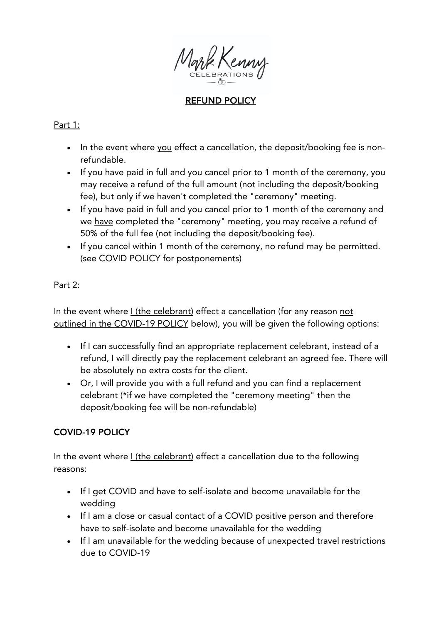

# REFUND POLICY

### Part 1:

- In the event where you effect a cancellation, the deposit/booking fee is nonrefundable.
- If you have paid in full and you cancel prior to 1 month of the ceremony, you may receive a refund of the full amount (not including the deposit/booking fee), but only if we haven't completed the "ceremony" meeting.
- If you have paid in full and you cancel prior to 1 month of the ceremony and we have completed the "ceremony" meeting, you may receive a refund of 50% of the full fee (not including the deposit/booking fee).
- If you cancel within 1 month of the ceremony, no refund may be permitted. (see COVID POLICY for postponements)

### Part 2:

In the event where *I* (the celebrant) effect a cancellation (for any reason not outlined in the COVID-19 POLICY below), you will be given the following options:

- If I can successfully find an appropriate replacement celebrant, instead of a refund, I will directly pay the replacement celebrant an agreed fee. There will be absolutely no extra costs for the client.
- Or, I will provide you with a full refund and you can find a replacement celebrant (\*if we have completed the "ceremony meeting" then the deposit/booking fee will be non-refundable)

#### COVID-19 POLICY

In the event where *I* (the celebrant) effect a cancellation due to the following reasons:

- If I get COVID and have to self-isolate and become unavailable for the wedding
- If I am a close or casual contact of a COVID positive person and therefore have to self-isolate and become unavailable for the wedding
- If I am unavailable for the wedding because of unexpected travel restrictions due to COVID-19